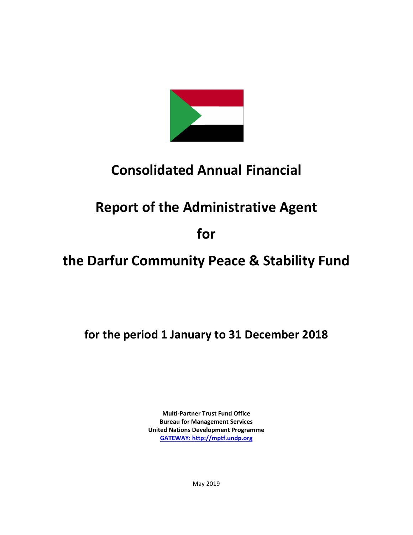

# **Consolidated Annual Financial**

# **Report of the Administrative Agent**

# **for**

# **the Darfur Community Peace & Stability Fund**

**for the period 1 January to 31 December 2018**

**Multi-Partner Trust Fund Office Bureau for Management Services United Nations Development Programme [GATEWAY: http://mptf.undp.org](http://mptf.undp.org/)**

May 2019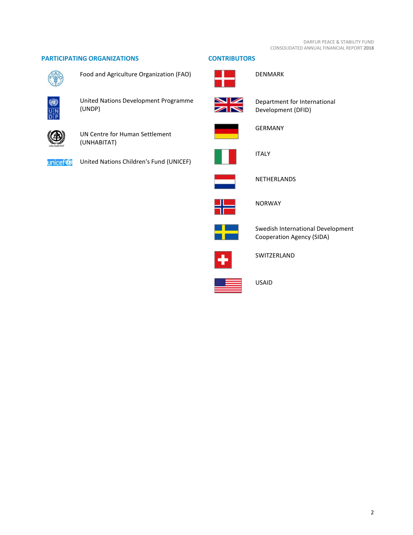# **PARTICIPATING ORGANIZATIONS CONTRIBUTORS**



Food and Agriculture Organization (FAO)



United Nations Development Programme (UNDP)



UN Centre for Human Settlement (UNHABITAT)

unicef<sup>®</sup>

United Nations Children's Fund (UNICEF)





DENMARK



Department for International Development (DFID)



GERMANY



ITALY



NETHERLANDS



NORWAY



Swedish International Development Cooperation Agency (SIDA)



SWITZERLAND



USAID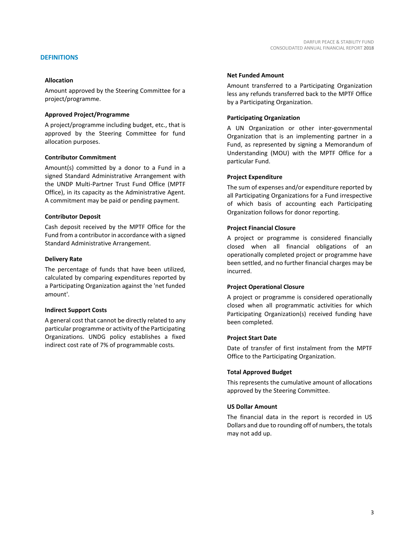# **DEFINITIONS**

## **Allocation**

Amount approved by the Steering Committee for a project/programme.

## **Approved Project/Programme**

A project/programme including budget, etc., that is approved by the Steering Committee for fund allocation purposes.

## **Contributor Commitment**

Amount(s) committed by a donor to a Fund in a signed Standard Administrative Arrangement with the UNDP Multi-Partner Trust Fund Office (MPTF Office), in its capacity as the Administrative Agent. A commitment may be paid or pending payment.

## **Contributor Deposit**

Cash deposit received by the MPTF Office for the Fund from a contributor in accordance with a signed Standard Administrative Arrangement.

## **Delivery Rate**

The percentage of funds that have been utilized, calculated by comparing expenditures reported by a Participating Organization against the 'net funded amount'.

## **Indirect Support Costs**

A general cost that cannot be directly related to any particular programme or activity of the Participating Organizations. UNDG policy establishes a fixed indirect cost rate of 7% of programmable costs.

### **Net Funded Amount**

Amount transferred to a Participating Organization less any refunds transferred back to the MPTF Office by a Participating Organization.

## **Participating Organization**

A UN Organization or other inter-governmental Organization that is an implementing partner in a Fund, as represented by signing a Memorandum of Understanding (MOU) with the MPTF Office for a particular Fund.

## **Project Expenditure**

The sum of expenses and/or expenditure reported by all Participating Organizations for a Fund irrespective of which basis of accounting each Participating Organization follows for donor reporting.

## **Project Financial Closure**

A project or programme is considered financially closed when all financial obligations of an operationally completed project or programme have been settled, and no further financial charges may be incurred.

#### **Project Operational Closure**

A project or programme is considered operationally closed when all programmatic activities for which Participating Organization(s) received funding have been completed.

#### **Project Start Date**

Date of transfer of first instalment from the MPTF Office to the Participating Organization.

## **Total Approved Budget**

This represents the cumulative amount of allocations approved by the Steering Committee.

#### **US Dollar Amount**

The financial data in the report is recorded in US Dollars and due to rounding off of numbers, the totals may not add up.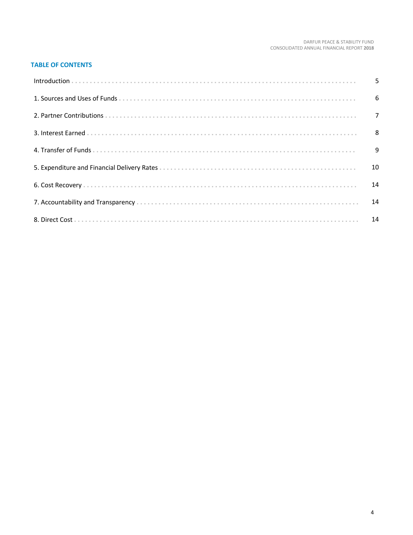# **TABLE OF CONTENTS**

| 10 |
|----|
| 14 |
|    |
|    |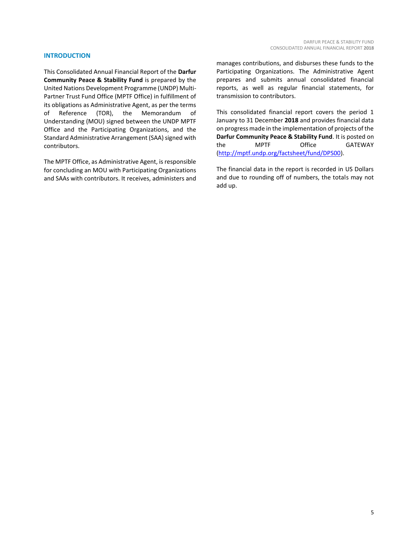# **INTRODUCTION**

This Consolidated Annual Financial Report of the **Darfur Community Peace & Stability Fund** is prepared by the United Nations Development Programme (UNDP) Multi-Partner Trust Fund Office (MPTF Office) in fulfillment of its obligations as Administrative Agent, as per the terms of Reference (TOR), the Memorandum of Understanding (MOU) signed between the UNDP MPTF Office and the Participating Organizations, and the Standard Administrative Arrangement (SAA) signed with contributors.

The MPTF Office, as Administrative Agent, is responsible for concluding an MOU with Participating Organizations and SAAs with contributors. It receives, administers and

manages contributions, and disburses these funds to the Participating Organizations. The Administrative Agent prepares and submits annual consolidated financial reports, as well as regular financial statements, for transmission to contributors.

This consolidated financial report covers the period 1 January to 31 December **2018** and provides financial data on progress made in the implementation of projects of the **Darfur Community Peace & Stability Fund**. It is posted on the MPTF Office GATEWAY [\(http://mptf.undp.org/factsheet/fund/DPS00\)](http://mptf.undp.org/factsheet/fund/DPS00).

The financial data in the report is recorded in US Dollars and due to rounding off of numbers, the totals may not add up.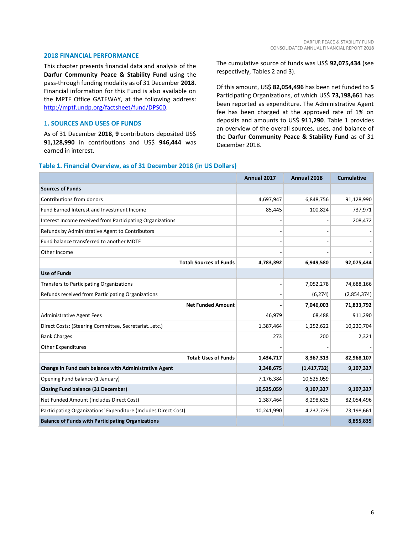## **2018 FINANCIAL PERFORMANCE**

This chapter presents financial data and analysis of the **Darfur Community Peace & Stability Fund** using the pass-through funding modality as of 31 December **2018**. Financial information for this Fund is also available on the MPTF Office GATEWAY, at the following address: [http://mptf.undp.org/factsheet/fund/DPS00.](http://mptf.undp.org/factsheet/fund/DPS00)

# **1. SOURCES AND USES OF FUNDS**

As of 31 December **2018**, **9** contributors deposited US\$ **91,128,990** in contributions and US\$ **946,444** was earned in interest.

The cumulative source of funds was US\$ **92,075,434** (see respectively, Tables 2 and 3).

Of this amount, US\$ **82,054,496** has been net funded to **5** Participating Organizations, of which US\$ **73,198,661** has been reported as expenditure. The Administrative Agent fee has been charged at the approved rate of 1% on deposits and amounts to US\$ **911,290**. Table 1 provides an overview of the overall sources, uses, and balance of the **Darfur Community Peace & Stability Fund** as of 31 December 2018.

#### **Table 1. Financial Overview, as of 31 December 2018 (in US Dollars)**

|                                                                 | <b>Annual 2017</b> | Annual 2018   | <b>Cumulative</b> |
|-----------------------------------------------------------------|--------------------|---------------|-------------------|
| <b>Sources of Funds</b>                                         |                    |               |                   |
| Contributions from donors                                       | 4,697,947          | 6,848,756     | 91,128,990        |
| Fund Earned Interest and Investment Income                      | 85,445             | 100,824       | 737,971           |
| Interest Income received from Participating Organizations       |                    |               | 208,472           |
| Refunds by Administrative Agent to Contributors                 |                    |               |                   |
| Fund balance transferred to another MDTF                        |                    |               |                   |
| Other Income                                                    |                    |               |                   |
| <b>Total: Sources of Funds</b>                                  | 4,783,392          | 6,949,580     | 92,075,434        |
| <b>Use of Funds</b>                                             |                    |               |                   |
| Transfers to Participating Organizations                        |                    | 7,052,278     | 74,688,166        |
| Refunds received from Participating Organizations               |                    | (6, 274)      | (2,854,374)       |
| <b>Net Funded Amount</b>                                        |                    | 7,046,003     | 71,833,792        |
| <b>Administrative Agent Fees</b>                                | 46,979             | 68,488        | 911,290           |
| Direct Costs: (Steering Committee, Secretariatetc.)             | 1,387,464          | 1,252,622     | 10,220,704        |
| <b>Bank Charges</b>                                             | 273                | 200           | 2,321             |
| <b>Other Expenditures</b>                                       |                    |               |                   |
| <b>Total: Uses of Funds</b>                                     | 1,434,717          | 8,367,313     | 82,968,107        |
| Change in Fund cash balance with Administrative Agent           | 3,348,675          | (1, 417, 732) | 9,107,327         |
| Opening Fund balance (1 January)                                | 7,176,384          | 10,525,059    |                   |
| <b>Closing Fund balance (31 December)</b>                       | 10,525,059         | 9,107,327     | 9,107,327         |
| Net Funded Amount (Includes Direct Cost)                        | 1,387,464          | 8,298,625     | 82,054,496        |
| Participating Organizations' Expenditure (Includes Direct Cost) | 10,241,990         | 4,237,729     | 73,198,661        |
| <b>Balance of Funds with Participating Organizations</b>        |                    |               | 8,855,835         |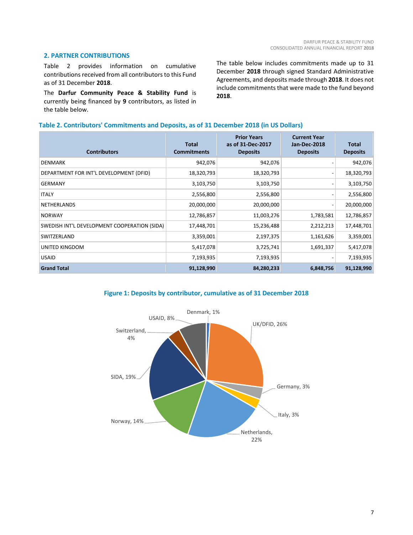# **2. PARTNER CONTRIBUTIONS**

Table 2 provides information on cumulative contributions received from all contributors to this Fund as of 31 December **2018**.

The **Darfur Community Peace & Stability Fund** is currently being financed by **9** contributors, as listed in the table below.

The table below includes commitments made up to 31 December **2018** through signed Standard Administrative Agreements, and deposits made through **2018**. It does not include commitments that were made to the fund beyond **2018**.

## **Table 2. Contributors' Commitments and Deposits, as of 31 December 2018 (in US Dollars)**

| <b>Contributors</b>                          | Total<br><b>Commitments</b> | <b>Prior Years</b><br>as of 31-Dec-2017<br><b>Deposits</b> | <b>Current Year</b><br><b>Jan-Dec-2018</b><br><b>Deposits</b> | <b>Total</b><br><b>Deposits</b> |
|----------------------------------------------|-----------------------------|------------------------------------------------------------|---------------------------------------------------------------|---------------------------------|
| <b>DENMARK</b>                               | 942,076                     | 942,076                                                    |                                                               | 942,076                         |
| DEPARTMENT FOR INT'L DEVELOPMENT (DFID)      | 18,320,793                  | 18,320,793                                                 |                                                               | 18,320,793                      |
| <b>GERMANY</b>                               | 3,103,750                   | 3,103,750                                                  |                                                               | 3,103,750                       |
| <b>ITALY</b>                                 | 2,556,800                   | 2,556,800                                                  |                                                               | 2,556,800                       |
| NETHERLANDS                                  | 20,000,000                  | 20,000,000                                                 |                                                               | 20,000,000                      |
| <b>NORWAY</b>                                | 12,786,857                  | 11,003,276                                                 | 1,783,581                                                     | 12,786,857                      |
| SWEDISH INT'L DEVELOPMENT COOPERATION (SIDA) | 17,448,701                  | 15,236,488                                                 | 2,212,213                                                     | 17,448,701                      |
| SWITZERLAND                                  | 3,359,001                   | 2,197,375                                                  | 1,161,626                                                     | 3,359,001                       |
| UNITED KINGDOM                               | 5,417,078                   | 3,725,741                                                  | 1,691,337                                                     | 5,417,078                       |
| <b>USAID</b>                                 | 7,193,935                   | 7,193,935                                                  |                                                               | 7,193,935                       |
| <b>Grand Total</b>                           | 91,128,990                  | 84,280,233                                                 | 6,848,756                                                     | 91,128,990                      |

# **Figure 1: Deposits by contributor, cumulative as of 31 December 2018**

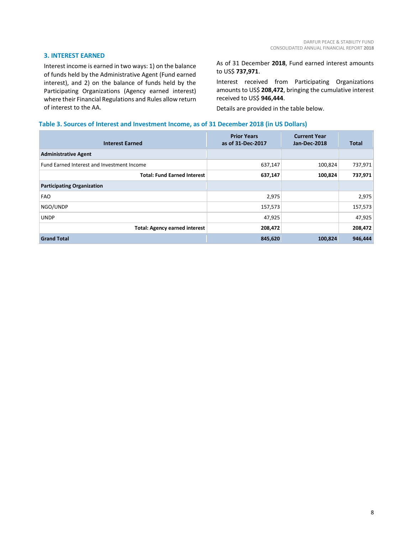# **3. INTEREST EARNED**

Interest income is earned in two ways: 1) on the balance of funds held by the Administrative Agent (Fund earned interest), and 2) on the balance of funds held by the Participating Organizations (Agency earned interest) where their Financial Regulations and Rules allow return of interest to the AA.

As of 31 December **2018**, Fund earned interest amounts to US\$ **737,971**.

Interest received from Participating Organizations amounts to US\$ **208,472**, bringing the cumulative interest received to US\$ **946,444**.

Details are provided in the table below.

## **Table 3. Sources of Interest and Investment Income, as of 31 December 2018 (in US Dollars)**

| <b>Interest Earned</b>                     | <b>Prior Years</b><br>as of 31-Dec-2017 | <b>Current Year</b><br>Jan-Dec-2018 | <b>Total</b> |
|--------------------------------------------|-----------------------------------------|-------------------------------------|--------------|
| <b>Administrative Agent</b>                |                                         |                                     |              |
| Fund Earned Interest and Investment Income | 637,147                                 | 100,824                             | 737,971      |
| <b>Total: Fund Earned Interest</b>         | 637,147                                 | 100,824                             | 737,971      |
| <b>Participating Organization</b>          |                                         |                                     |              |
| <b>FAO</b>                                 | 2,975                                   |                                     | 2,975        |
| NGO/UNDP                                   | 157,573                                 |                                     | 157,573      |
| <b>UNDP</b>                                | 47,925                                  |                                     | 47,925       |
| <b>Total: Agency earned interest</b>       | 208,472                                 |                                     | 208,472      |
| <b>Grand Total</b>                         | 845,620                                 | 100,824                             | 946,444      |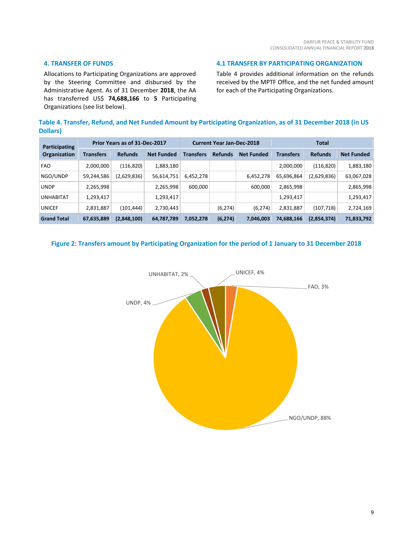# **4. TRANSFER OF FUNDS**

Allocations to Participating Organizations are approved by the Steering Committee and disbursed by the Administrative Agent. As of 31 December **2018**, the AA has transferred US\$ **74,688,166** to **5** Participating Organizations (see list below).

Table 4 provides additional information on the refunds received by the MPTF Office, and the net funded amount for each of the Participating Organizations.

**4.1 TRANSFER BY PARTICIPATING ORGANIZATION**

**Table 4. Transfer, Refund, and Net Funded Amount by Participating Organization, as of 31 December 2018 (in US Dollars)**

| <b>Participating</b> | Prior Years as of 31-Dec-2017 |                |                   | <b>Current Year Jan-Dec-2018</b> |                |                   | <b>Total</b>     |                |                   |
|----------------------|-------------------------------|----------------|-------------------|----------------------------------|----------------|-------------------|------------------|----------------|-------------------|
| Organization         | <b>Transfers</b>              | <b>Refunds</b> | <b>Net Funded</b> | <b>Transfers</b>                 | <b>Refunds</b> | <b>Net Funded</b> | <b>Transfers</b> | <b>Refunds</b> | <b>Net Funded</b> |
| <b>FAO</b>           | 2,000,000                     | (116, 820)     | 1,883,180         |                                  |                |                   | 2,000,000        | (116, 820)     | 1,883,180         |
| NGO/UNDP             | 59,244,586                    | (2,629,836)    | 56,614,751        | 6,452,278                        |                | 6,452,278         | 65,696,864       | (2,629,836)    | 63,067,028        |
| <b>UNDP</b>          | 2,265,998                     |                | 2,265,998         | 600,000                          |                | 600,000           | 2,865,998        |                | 2,865,998         |
| <b>UNHABITAT</b>     | 1,293,417                     |                | 1,293,417         |                                  |                |                   | 1,293,417        |                | 1,293,417         |
| <b>UNICEF</b>        | 2,831,887                     | (101,444)      | 2,730,443         |                                  | (6, 274)       | (6, 274)          | 2,831,887        | (107, 718)     | 2,724,169         |
| <b>Grand Total</b>   | 67,635,889                    | (2,848,100)    | 64,787,789        | 7,052,278                        | (6, 274)       | 7,046,003         | 74,688,166       | (2,854,374)    | 71,833,792        |

## **Figure 2: Transfers amount by Participating Organization for the period of 1 January to 31 December 2018**

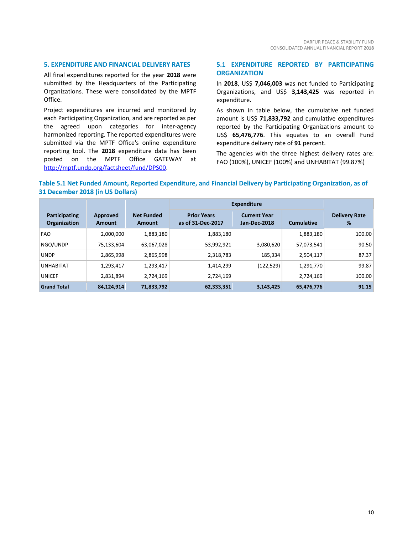## **5. EXPENDITURE AND FINANCIAL DELIVERY RATES**

All final expenditures reported for the year **2018** were submitted by the Headquarters of the Participating Organizations. These were consolidated by the MPTF Office.

Project expenditures are incurred and monitored by each Participating Organization, and are reported as per the agreed upon categories for inter-agency harmonized reporting. The reported expenditures were submitted via the MPTF Office's online expenditure reporting tool. The **2018** expenditure data has been posted on the MPTF Office GATEWAY at [http://mptf.undp.org/factsheet/fund/DPS00.](http://mptf.undp.org/factsheet/fund/DPS00)

## **5.1 EXPENDITURE REPORTED BY PARTICIPATING ORGANIZATION**

In **2018**, US\$ **7,046,003** was net funded to Participating Organizations, and US\$ **3,143,425** was reported in expenditure.

As shown in table below, the cumulative net funded amount is US\$ **71,833,792** and cumulative expenditures reported by the Participating Organizations amount to US\$ **65,476,776**. This equates to an overall Fund expenditure delivery rate of **91** percent.

The agencies with the three highest delivery rates are: FAO (100%), UNICEF (100%) and UNHABITAT (99.87%)

# **Table 5.1 Net Funded Amount, Reported Expenditure, and Financial Delivery by Participating Organization, as of 31 December 2018 (in US Dollars)**

|                               |                           |                                    | <b>Expenditure</b>                      |                                     |                   |                           |
|-------------------------------|---------------------------|------------------------------------|-----------------------------------------|-------------------------------------|-------------------|---------------------------|
| Participating<br>Organization | <b>Approved</b><br>Amount | <b>Net Funded</b><br><b>Amount</b> | <b>Prior Years</b><br>as of 31-Dec-2017 | <b>Current Year</b><br>Jan-Dec-2018 | <b>Cumulative</b> | <b>Delivery Rate</b><br>% |
| <b>FAO</b>                    | 2,000,000                 | 1,883,180                          | 1,883,180                               |                                     | 1,883,180         | 100.00                    |
| NGO/UNDP                      | 75,133,604                | 63,067,028                         | 53,992,921                              | 3,080,620                           | 57,073,541        | 90.50                     |
| <b>UNDP</b>                   | 2,865,998                 | 2,865,998                          | 2,318,783                               | 185,334                             | 2,504,117         | 87.37                     |
| <b>UNHABITAT</b>              | 1,293,417                 | 1,293,417                          | 1,414,299                               | (122, 529)                          | 1,291,770         | 99.87                     |
| <b>UNICEF</b>                 | 2,831,894                 | 2,724,169                          | 2,724,169                               |                                     | 2,724,169         | 100.00                    |
| <b>Grand Total</b>            | 84,124,914                | 71,833,792                         | 62,333,351                              | 3,143,425                           | 65,476,776        | 91.15                     |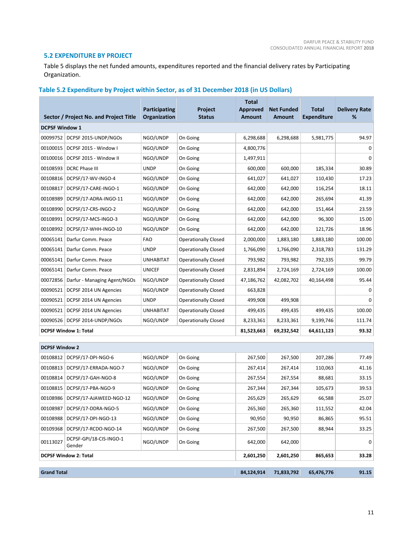# **5.2 EXPENDITURE BY PROJECT**

Г

Table 5 displays the net funded amounts, expenditures reported and the financial delivery rates by Participating Organization.

# **Table 5.2 Expenditure by Project within Sector, as of 31 December 2018 (in US Dollars)**

|                       | Sector / Project No. and Project Title | <b>Participating</b><br>Organization | Project<br><b>Status</b>    | <b>Total</b><br><b>Approved</b><br><b>Amount</b> | <b>Net Funded</b><br><b>Amount</b> | <b>Total</b><br><b>Expenditure</b> | <b>Delivery Rate</b><br>% |
|-----------------------|----------------------------------------|--------------------------------------|-----------------------------|--------------------------------------------------|------------------------------------|------------------------------------|---------------------------|
| <b>DCPSF Window 1</b> |                                        |                                      |                             |                                                  |                                    |                                    |                           |
| 00099752              | DCPSF 2015-UNDP/NGOs                   | NGO/UNDP                             | On Going                    | 6,298,688                                        | 6,298,688                          | 5,981,775                          | 94.97                     |
| 00100015              | DCPSF 2015 - Window I                  | NGO/UNDP                             | On Going                    | 4,800,776                                        |                                    |                                    | 0                         |
| 00100016              | DCPSF 2015 - Window II                 | NGO/UNDP                             | On Going                    | 1,497,911                                        |                                    |                                    | $\Omega$                  |
| 00108593              | DCRC Phase III                         | <b>UNDP</b>                          | On Going                    | 600,000                                          | 600,000                            | 185,334                            | 30.89                     |
| 00108816              | DCPSF/17-WV-INGO-4                     | NGO/UNDP                             | On Going                    | 641,027                                          | 641,027                            | 110,430                            | 17.23                     |
| 00108817              | DCPSF/17-CARE-INGO-1                   | NGO/UNDP                             | On Going                    | 642,000                                          | 642,000                            | 116,254                            | 18.11                     |
| 00108989              | DCPSF/17-ADRA-INGO-11                  | NGO/UNDP                             | On Going                    | 642,000                                          | 642,000                            | 265,694                            | 41.39                     |
| 00108990              | DCPSF/17-CRS-INGO-2                    | NGO/UNDP                             | On Going                    | 642,000                                          | 642,000                            | 151,464                            | 23.59                     |
| 00108991              | DCPSF/17-MCS-INGO-3                    | NGO/UNDP                             | On Going                    | 642,000                                          | 642,000                            | 96,300                             | 15.00                     |
| 00108992              | DCPSF/17-WHH-INGO-10                   | NGO/UNDP                             | On Going                    | 642,000                                          | 642,000                            | 121,726                            | 18.96                     |
| 00065141              | Darfur Comm. Peace                     | <b>FAO</b>                           | <b>Operationally Closed</b> | 2,000,000                                        | 1,883,180                          | 1,883,180                          | 100.00                    |
| 00065141              | Darfur Comm. Peace                     | <b>UNDP</b>                          | <b>Operationally Closed</b> | 1,766,090                                        | 1,766,090                          | 2,318,783                          | 131.29                    |
| 00065141              | Darfur Comm. Peace                     | <b>UNHABITAT</b>                     | <b>Operationally Closed</b> | 793,982                                          | 793,982                            | 792,335                            | 99.79                     |
| 00065141              | Darfur Comm. Peace                     | <b>UNICEF</b>                        | <b>Operationally Closed</b> | 2,831,894                                        | 2,724,169                          | 2,724,169                          | 100.00                    |
| 00072856              | Darfur - Managing Agent/NGOs           | NGO/UNDP                             | <b>Operationally Closed</b> | 47,186,762                                       | 42,082,702                         | 40,164,498                         | 95.44                     |
| 00090521              | DCPSF 2014 UN Agencies                 | NGO/UNDP                             | <b>Operationally Closed</b> | 663,828                                          |                                    |                                    | 0                         |
| 00090521              | DCPSF 2014 UN Agencies                 | <b>UNDP</b>                          | <b>Operationally Closed</b> | 499,908                                          | 499,908                            |                                    | $\Omega$                  |
| 00090521              | DCPSF 2014 UN Agencies                 | <b>UNHABITAT</b>                     | <b>Operationally Closed</b> | 499,435                                          | 499,435                            | 499,435                            | 100.00                    |
| 00090526              | DCPSF 2014-UNDP/NGOs                   | NGO/UNDP                             | <b>Operationally Closed</b> | 8,233,361                                        | 8,233,361                          | 9,199,746                          | 111.74                    |
|                       | <b>DCPSF Window 1: Total</b>           |                                      |                             | 81,523,663                                       | 69,232,542                         | 64,611,123                         | 93.32                     |
| <b>DCPSF Window 2</b> |                                        |                                      |                             |                                                  |                                    |                                    |                           |
| 00108812              | DCPSF/17-DPI-NGO-6                     | NGO/UNDP                             | On Going                    | 267,500                                          | 267,500                            | 207,286                            | 77.49                     |
| 00108813              | DCPSF/17-ERRADA-NGO-7                  | NGO/UNDP                             | On Going                    | 267,414                                          | 267,414                            | 110,063                            | 41.16                     |
| 00108814              | DCPSF/17-GAH-NGO-8                     | NGO/UNDP                             | On Going                    | 267,554                                          | 267,554                            | 88,681                             | 33.15                     |
| 00108815              | DCPSF/17-PBA-NGO-9                     | NGO/UNDP                             | On Going                    | 267,344                                          | 267,344                            | 105,673                            | 39.53                     |
| 00108986              | DCPSF/17-AJAWEED-NGO-12                | NGO/UNDP                             | On Going                    | 265,629                                          | 265,629                            | 66,588                             | 25.07                     |
| 00108987              | DCPSF/17-DDRA-NGO-5                    | NGO/UNDP                             | On Going                    | 265,360                                          | 265,360                            | 111,552                            | 42.04                     |
| 00108988              | DCPSF/17-DPI-NGO-13                    | NGO/UNDP                             | On Going                    | 90,950                                           | 90,950                             | 86,865                             | 95.51                     |
|                       | 00109368 DCPSF/17-RCDO-NGO-14          | NGO/UNDP                             | On Going                    | 267,500                                          | 267,500                            | 88,944                             | 33.25                     |
| 00113027              | DCPSF-GPI/18-CIS-INGO-1<br>Gender      | NGO/UNDP                             | On Going                    | 642,000                                          | 642,000                            |                                    | 0                         |
|                       | <b>DCPSF Window 2: Total</b>           |                                      |                             | 2,601,250                                        | 2,601,250                          | 865,653                            | 33.28                     |
|                       |                                        |                                      |                             |                                                  |                                    |                                    |                           |
| <b>Grand Total</b>    |                                        |                                      |                             | 84,124,914                                       | 71,833,792                         | 65,476,776                         | 91.15                     |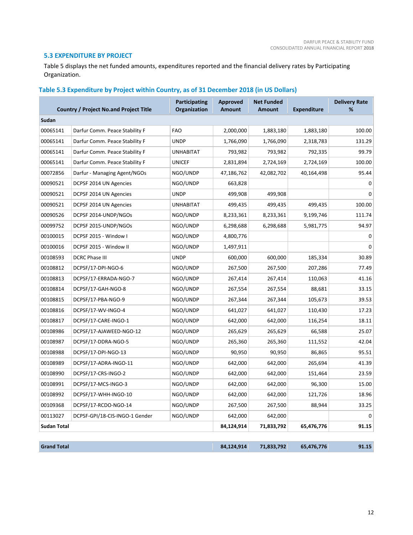# **5.3 EXPENDITURE BY PROJECT**

Table 5 displays the net funded amounts, expenditures reported and the financial delivery rates by Participating Organization.

# **Table 5.3 Expenditure by Project within Country, as of 31 December 2018 (in US Dollars)**

| <b>Country / Project No.and Project Title</b> |                                | <b>Participating</b><br><b>Organization</b> | <b>Approved</b><br><b>Amount</b> | <b>Net Funded</b><br><b>Amount</b> | <b>Expenditure</b> | <b>Delivery Rate</b><br>% |
|-----------------------------------------------|--------------------------------|---------------------------------------------|----------------------------------|------------------------------------|--------------------|---------------------------|
| Sudan                                         |                                |                                             |                                  |                                    |                    |                           |
| 00065141                                      | Darfur Comm. Peace Stability F | <b>FAO</b>                                  | 2,000,000                        | 1,883,180                          | 1,883,180          | 100.00                    |
| 00065141                                      | Darfur Comm. Peace Stability F | <b>UNDP</b>                                 | 1,766,090                        | 1,766,090                          | 2,318,783          | 131.29                    |
| 00065141                                      | Darfur Comm. Peace Stability F | <b>UNHABITAT</b>                            | 793,982                          | 793,982                            | 792,335            | 99.79                     |
| 00065141                                      | Darfur Comm. Peace Stability F | <b>UNICEF</b>                               | 2,831,894                        | 2,724,169                          | 2,724,169          | 100.00                    |
| 00072856                                      | Darfur - Managing Agent/NGOs   | NGO/UNDP                                    | 47,186,762                       | 42,082,702                         | 40,164,498         | 95.44                     |
| 00090521                                      | DCPSF 2014 UN Agencies         | NGO/UNDP                                    | 663,828                          |                                    |                    | 0                         |
| 00090521                                      | DCPSF 2014 UN Agencies         | <b>UNDP</b>                                 | 499,908                          | 499,908                            |                    | $\Omega$                  |
| 00090521                                      | DCPSF 2014 UN Agencies         | <b>UNHABITAT</b>                            | 499,435                          | 499,435                            | 499,435            | 100.00                    |
| 00090526                                      | DCPSF 2014-UNDP/NGOs           | NGO/UNDP                                    | 8,233,361                        | 8,233,361                          | 9,199,746          | 111.74                    |
| 00099752                                      | DCPSF 2015-UNDP/NGOs           | NGO/UNDP                                    | 6,298,688                        | 6,298,688                          | 5,981,775          | 94.97                     |
| 00100015                                      | DCPSF 2015 - Window I          | NGO/UNDP                                    | 4,800,776                        |                                    |                    | 0                         |
| 00100016                                      | DCPSF 2015 - Window II         | NGO/UNDP                                    | 1,497,911                        |                                    |                    | 0                         |
| 00108593                                      | <b>DCRC Phase III</b>          | <b>UNDP</b>                                 | 600,000                          | 600,000                            | 185,334            | 30.89                     |
| 00108812                                      | DCPSF/17-DPI-NGO-6             | NGO/UNDP                                    | 267,500                          | 267,500                            | 207,286            | 77.49                     |
| 00108813                                      | DCPSF/17-ERRADA-NGO-7          | NGO/UNDP                                    | 267,414                          | 267,414                            | 110,063            | 41.16                     |
| 00108814                                      | DCPSF/17-GAH-NGO-8             | NGO/UNDP                                    | 267,554                          | 267,554                            | 88,681             | 33.15                     |
| 00108815                                      | DCPSF/17-PBA-NGO-9             | NGO/UNDP                                    | 267,344                          | 267,344                            | 105,673            | 39.53                     |
| 00108816                                      | DCPSF/17-WV-INGO-4             | NGO/UNDP                                    | 641,027                          | 641,027                            | 110,430            | 17.23                     |
| 00108817                                      | DCPSF/17-CARE-INGO-1           | NGO/UNDP                                    | 642,000                          | 642,000                            | 116,254            | 18.11                     |
| 00108986                                      | DCPSF/17-AJAWEED-NGO-12        | NGO/UNDP                                    | 265,629                          | 265,629                            | 66,588             | 25.07                     |
| 00108987                                      | DCPSF/17-DDRA-NGO-5            | NGO/UNDP                                    | 265,360                          | 265,360                            | 111,552            | 42.04                     |
| 00108988                                      | DCPSF/17-DPI-NGO-13            | NGO/UNDP                                    | 90,950                           | 90,950                             | 86,865             | 95.51                     |
| 00108989                                      | DCPSF/17-ADRA-INGO-11          | NGO/UNDP                                    | 642,000                          | 642,000                            | 265,694            | 41.39                     |
| 00108990                                      | DCPSF/17-CRS-INGO-2            | NGO/UNDP                                    | 642,000                          | 642,000                            | 151,464            | 23.59                     |
| 00108991                                      | DCPSF/17-MCS-INGO-3            | NGO/UNDP                                    | 642,000                          | 642,000                            | 96,300             | 15.00                     |
| 00108992                                      | DCPSF/17-WHH-INGO-10           | NGO/UNDP                                    | 642,000                          | 642,000                            | 121,726            | 18.96                     |
| 00109368                                      | DCPSF/17-RCDO-NGO-14           | NGO/UNDP                                    | 267,500                          | 267,500                            | 88,944             | 33.25                     |
| 00113027                                      | DCPSF-GPI/18-CIS-INGO-1 Gender | NGO/UNDP                                    | 642,000                          | 642,000                            |                    | 0                         |
| Sudan Total                                   |                                |                                             | 84,124,914                       | 71,833,792                         | 65,476,776         | 91.15                     |
|                                               |                                |                                             |                                  |                                    |                    |                           |
| <b>Grand Total</b>                            |                                |                                             | 84,124,914                       | 71,833,792                         | 65,476,776         | 91.15                     |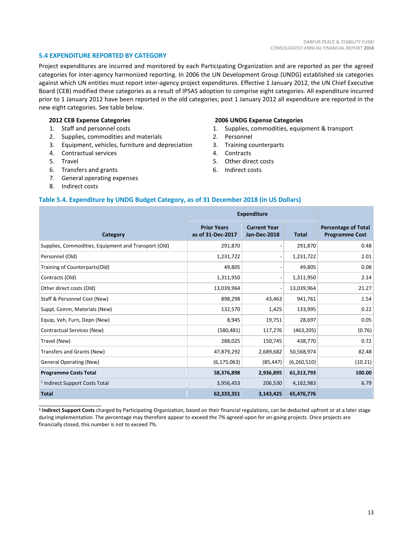## **5.4 EXPENDITURE REPORTED BY CATEGORY**

Project expenditures are incurred and monitored by each Participating Organization and are reported as per the agreed categories for inter-agency harmonized reporting. In 2006 the UN Development Group (UNDG) established six categories against which UN entities must report inter-agency project expenditures. Effective 1 January 2012, the UN Chief Executive Board (CEB) modified these categories as a result of IPSAS adoption to comprise eight categories. All expenditure incurred prior to 1 January 2012 have been reported in the old categories; post 1 January 2012 all expenditure are reported in the new eight categories. See table below.

### **2012 CEB Expense Categories**

- 1. Staff and personnel costs
- 2. Supplies, commodities and materials
- 3. Equipment, vehicles, furniture and depreciation
- 4. Contractual services
- 5. Travel
- 6. Transfers and grants
- 7. General operating expenses
- 8. Indirect costs

 $\overline{\phantom{a}}$  , and the set of the set of the set of the set of the set of the set of the set of the set of the set of the set of the set of the set of the set of the set of the set of the set of the set of the set of the s

#### **2006 UNDG Expense Categories**

- 1. Supplies, commodities, equipment & transport
- 2. Personnel
- 3. Training counterparts
- 4. Contracts
- 5. Other direct costs
- 6. Indirect costs

## **Table 5.4. Expenditure by UNDG Budget Category, as of 31 December 2018 (in US Dollars)**

|                                                      | <b>Expenditure</b>                      |                                            |               |                                                     |
|------------------------------------------------------|-----------------------------------------|--------------------------------------------|---------------|-----------------------------------------------------|
| Category                                             | <b>Prior Years</b><br>as of 31-Dec-2017 | <b>Current Year</b><br><b>Jan-Dec-2018</b> | <b>Total</b>  | <b>Percentage of Total</b><br><b>Programme Cost</b> |
| Supplies, Commodities, Equipment and Transport (Old) | 291,870                                 |                                            | 291,870       | 0.48                                                |
| Personnel (Old)                                      | 1,231,722                               |                                            | 1,231,722     | 2.01                                                |
| Training of Counterparts(Old)                        | 49,805                                  |                                            | 49,805        | 0.08                                                |
| Contracts (Old)                                      | 1,311,950                               |                                            | 1,311,950     | 2.14                                                |
| Other direct costs (Old)                             | 13,039,964                              |                                            | 13,039,964    | 21.27                                               |
| Staff & Personnel Cost (New)                         | 898,298                                 | 43,463                                     | 941,761       | 1.54                                                |
| Suppl, Comm, Materials (New)                         | 132,570                                 | 1,425                                      | 133,995       | 0.22                                                |
| Equip, Veh, Furn, Depn (New)                         | 8,945                                   | 19,751                                     | 28,697        | 0.05                                                |
| Contractual Services (New)                           | (580, 481)                              | 117,276                                    | (463, 205)    | (0.76)                                              |
| Travel (New)                                         | 288,025                                 | 150,745                                    | 438,770       | 0.72                                                |
| Transfers and Grants (New)                           | 47,879,292                              | 2,689,682                                  | 50,568,974    | 82.48                                               |
| <b>General Operating (New)</b>                       | (6, 175, 063)                           | (85, 447)                                  | (6, 260, 510) | (10.21)                                             |
| <b>Programme Costs Total</b>                         | 58,376,898                              | 2,936,895                                  | 61,313,793    | 100.00                                              |
| <sup>1</sup> Indirect Support Costs Total            | 3,956,453                               | 206,530                                    | 4,162,983     | 6.79                                                |
| <b>Total</b>                                         | 62,333,351                              | 3,143,425                                  | 65,476,776    |                                                     |

**1 Indirect Support Costs** charged by Participating Organization, based on their financial regulations, can be deducted upfront or at a later stage during implementation. The percentage may therefore appear to exceed the 7% agreed-upon for on-going projects. Once projects are financially closed, this number is not to exceed 7%.